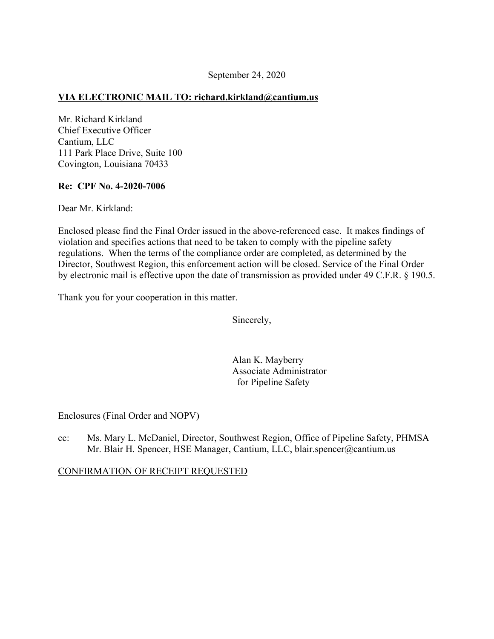## **VIA ELECTRONIC MAIL TO: [richard.kirkland@cantium.us](mailto:richard.kirkland@cantium.us)**

Mr. Richard Kirkland Chief Executive Officer Cantium, LLC 111 Park Place Drive, Suite 100 Covington, Louisiana 70433

#### **Re: CPF No. 4-2020-7006**

Dear Mr. Kirkland:

Enclosed please find the Final Order issued in the above-referenced case. It makes findings of violation and specifies actions that need to be taken to comply with the pipeline safety regulations. When the terms of the compliance order are completed, as determined by the Director, Southwest Region, this enforcement action will be closed. Service of the Final Order by electronic mail is effective upon the date of transmission as provided under 49 C.F.R. § 190.5.

Thank you for your cooperation in this matter.

Sincerely,

Alan K. Mayberry Associate Administrator for Pipeline Safety

Enclosures (Final Order and NOPV)

cc: Ms. Mary L. McDaniel, Director, Southwest Region, Office of Pipeline Safety, PHMSA Mr. Blair H. Spencer, HSE Manager, Cantium, LLC, [blair.spencer@cantium.us](mailto:blair.spencer@cantium.us)

CONFIRMATION OF RECEIPT REQUESTED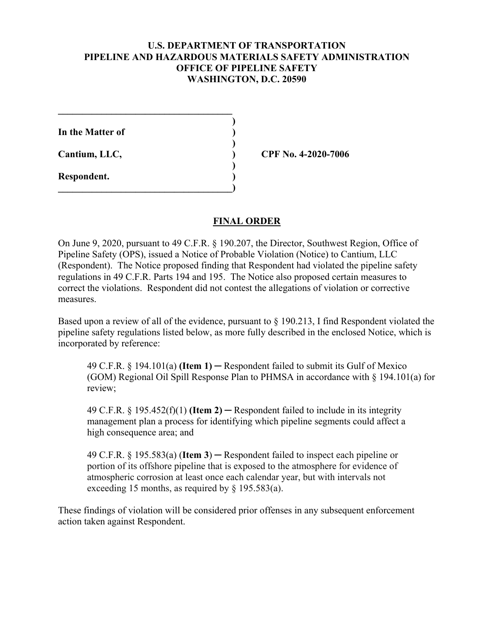## **U.S. DEPARTMENT OF TRANSPORTATION PIPELINE AND HAZARDOUS MATERIALS SAFETY ADMINISTRATION OFFICE OF PIPELINE SAFETY WASHINGTON, D.C. 20590**

**)** 

**)** 

**)** 

**In the Matter of )** 

**\_\_\_\_\_\_\_\_\_\_\_\_\_\_\_\_\_\_\_\_\_\_\_\_\_\_\_\_\_\_\_\_\_\_\_\_** 

 $\overline{\phantom{a}}$ 

**Respondent. )** 

**Cantium, LLC, ) CPF No. 4-2020-7006** 

### **FINAL ORDER**

On June 9, 2020, pursuant to 49 C.F.R. § 190.207, the Director, Southwest Region, Office of Pipeline Safety (OPS), issued a Notice of Probable Violation (Notice) to Cantium, LLC (Respondent). The Notice proposed finding that Respondent had violated the pipeline safety regulations in 49 C.F.R. Parts 194 and 195. The Notice also proposed certain measures to correct the violations. Respondent did not contest the allegations of violation or corrective measures.

Based upon a review of all of the evidence, pursuant to § 190.213, I find Respondent violated the pipeline safety regulations listed below, as more fully described in the enclosed Notice, which is incorporated by reference:

49 C.F.R. § 194.101(a) **(Item 1)** ─ Respondent failed to submit its Gulf of Mexico (GOM) Regional Oil Spill Response Plan to PHMSA in accordance with § 194.101(a) for review;

49 C.F.R.  $\S$  195.452(f)(1) **(Item 2)** — Respondent failed to include in its integrity management plan a process for identifying which pipeline segments could affect a high consequence area; and

49 C.F.R. § 195.583(a) (**Item 3**) ─ Respondent failed to inspect each pipeline or portion of its offshore pipeline that is exposed to the atmosphere for evidence of atmospheric corrosion at least once each calendar year, but with intervals not exceeding 15 months, as required by § 195.583(a).

These findings of violation will be considered prior offenses in any subsequent enforcement action taken against Respondent.